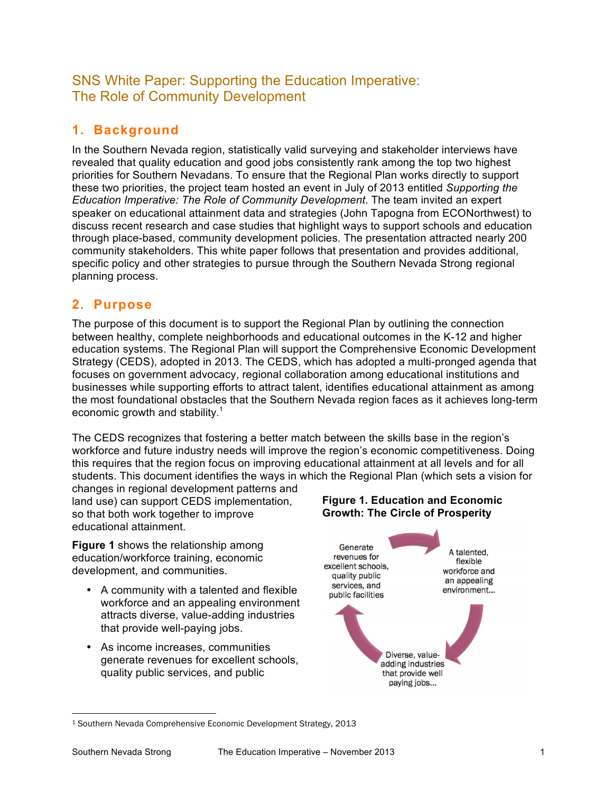# SNS White Paper: Supporting the Education Imperative: The Role of Community Development

# **1. Background**

In the Southern Nevada region, statistically valid surveying and stakeholder interviews have revealed that quality education and good jobs consistently rank among the top two highest priorities for Southern Nevadans. To ensure that the Regional Plan works directly to support these two priorities, the project team hosted an event in July of 2013 entitled *Supporting the Education Imperative: The Role of Community Development*. The team invited an expert speaker on educational attainment data and strategies (John Tapogna from ECONorthwest) to discuss recent research and case studies that highlight ways to support schools and education through place-based, community development policies. The presentation attracted nearly 200 community stakeholders. This white paper follows that presentation and provides additional, specific policy and other strategies to pursue through the Southern Nevada Strong regional planning process.

## **2. Purpose**

The purpose of this document is to support the Regional Plan by outlining the connection between healthy, complete neighborhoods and educational outcomes in the K-12 and higher education systems. The Regional Plan will support the Comprehensive Economic Development Strategy (CEDS), adopted in 2013. The CEDS, which has adopted a multi-pronged agenda that focuses on government advocacy, regional collaboration among educational institutions and businesses while supporting efforts to attract talent, identifies educational attainment as among the most foundational obstacles that the Southern Nevada region faces as it achieves long-term economic growth and stability.<sup>1</sup>

The CEDS recognizes that fostering a better match between the skills base in the region's workforce and future industry needs will improve the region's economic competitiveness. Doing this requires that the region focus on improving educational attainment at all levels and for all students. This document identifies the ways in which the Regional Plan (which sets a vision for

changes in regional development patterns and land use) can support CEDS implementation, so that both work together to improve educational attainment.

**Figure 1** shows the relationship among education/workforce training, economic development, and communities.

- A community with a talented and flexible workforce and an appealing environment attracts diverse, value-adding industries that provide well-paying jobs.
- As income increases, communities generate revenues for excellent schools, quality public services, and public



<sup>1</sup> Southern Nevada Comprehensive Economic Development Strategy, 2013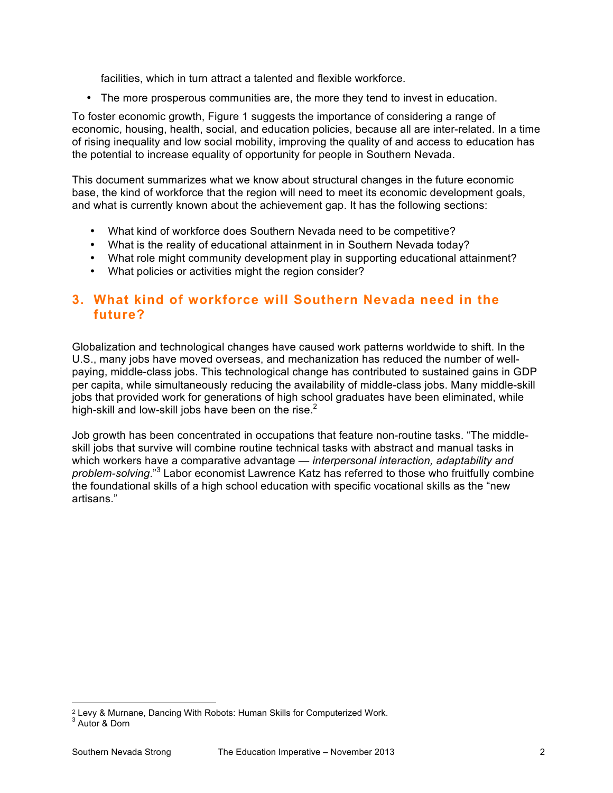facilities, which in turn attract a talented and flexible workforce.

• The more prosperous communities are, the more they tend to invest in education.

To foster economic growth, Figure 1 suggests the importance of considering a range of economic, housing, health, social, and education policies, because all are inter-related. In a time of rising inequality and low social mobility, improving the quality of and access to education has the potential to increase equality of opportunity for people in Southern Nevada.

This document summarizes what we know about structural changes in the future economic base, the kind of workforce that the region will need to meet its economic development goals, and what is currently known about the achievement gap. It has the following sections:

- What kind of workforce does Southern Nevada need to be competitive?
- What is the reality of educational attainment in in Southern Nevada today?
- What role might community development play in supporting educational attainment?
- What policies or activities might the region consider?

## **3. What kind of workforce will Southern Nevada need in the future?**

Globalization and technological changes have caused work patterns worldwide to shift. In the U.S., many jobs have moved overseas, and mechanization has reduced the number of wellpaying, middle-class jobs. This technological change has contributed to sustained gains in GDP per capita, while simultaneously reducing the availability of middle-class jobs. Many middle-skill jobs that provided work for generations of high school graduates have been eliminated, while high-skill and low-skill jobs have been on the rise.<sup>2</sup>

Job growth has been concentrated in occupations that feature non-routine tasks. "The middleskill jobs that survive will combine routine technical tasks with abstract and manual tasks in which workers have a comparative advantage — *interpersonal interaction, adaptability and problem-solving*."<sup>3</sup> Labor economist Lawrence Katz has referred to those who fruitfully combine the foundational skills of a high school education with specific vocational skills as the "new artisans."

 $\overline{a}$ 

<sup>2</sup> Levy & Murnane, Dancing With Robots: Human Skills for Computerized Work.

<sup>3</sup> Autor & Dorn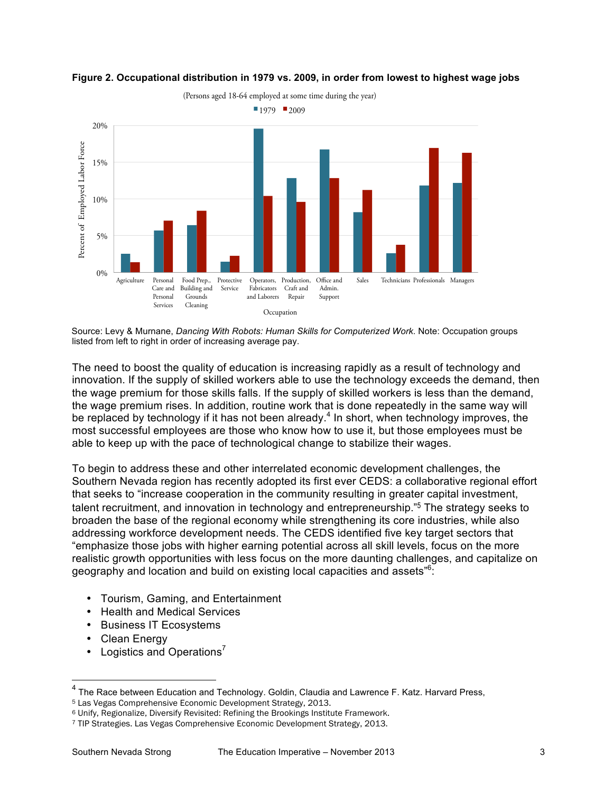

#### **Figure 2. Occupational distribution in 1979 vs. 2009, in order from lowest to highest wage jobs**

Source: Levy & Murnane, *Dancing With Robots: Human Skills for Computerized Work.* Note: Occupation groups listed from left to right in order of increasing average pay.

The need to boost the quality of education is increasing rapidly as a result of technology and innovation. If the supply of skilled workers able to use the technology exceeds the demand, then the wage premium for those skills falls. If the supply of skilled workers is less than the demand, the wage premium rises. In addition, routine work that is done repeatedly in the same way will be replaced by technology if it has not been already.<sup>4</sup> In short, when technology improves, the most successful employees are those who know how to use it, but those employees must be able to keep up with the pace of technological change to stabilize their wages.

To begin to address these and other interrelated economic development challenges, the Southern Nevada region has recently adopted its first ever CEDS: a collaborative regional effort that seeks to "increase cooperation in the community resulting in greater capital investment, talent recruitment, and innovation in technology and entrepreneurship."<sup>5</sup> The strategy seeks to broaden the base of the regional economy while strengthening its core industries, while also addressing workforce development needs. The CEDS identified five key target sectors that "emphasize those jobs with higher earning potential across all skill levels, focus on the more realistic growth opportunities with less focus on the more daunting challenges, and capitalize on geography and location and build on existing local capacities and assets"<sup>6</sup>:

- Tourism, Gaming, and Entertainment
- Health and Medical Services
- Business IT Ecosystems
- **Clean Energy**
- Logistics and Operations<sup>7</sup>

 <sup>4</sup> The Race between Education and Technology. Goldin, Claudia and Lawrence F. Katz. Harvard Press,

<sup>5</sup> Las Vegas Comprehensive Economic Development Strategy, 2013.

<sup>6</sup> Unify, Regionalize, Diversify Revisited: Refining the Brookings Institute Framework.<br>7 TIP Strategies. Las Vegas Comprehensive Economic Development Strategy, 2013.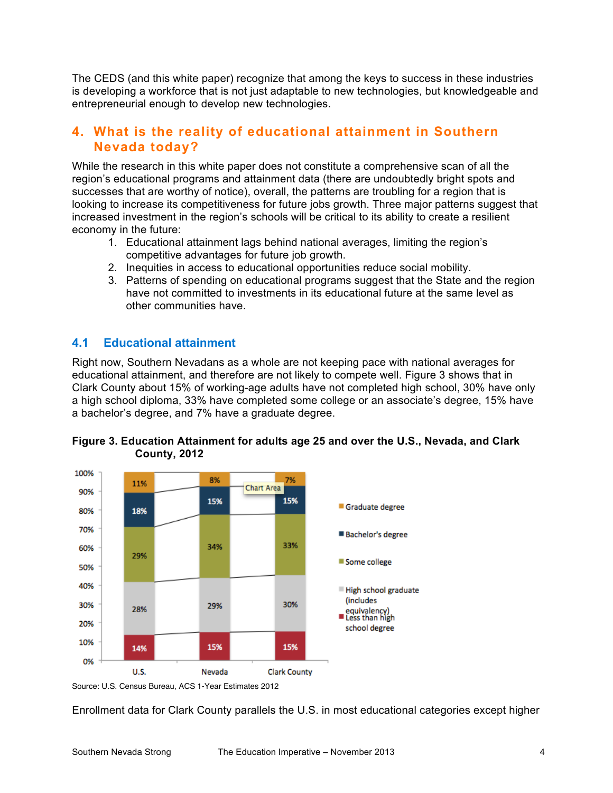The CEDS (and this white paper) recognize that among the keys to success in these industries is developing a workforce that is not just adaptable to new technologies, but knowledgeable and entrepreneurial enough to develop new technologies.

# **4. What is the reality of educational attainment in Southern Nevada today?**

While the research in this white paper does not constitute a comprehensive scan of all the region's educational programs and attainment data (there are undoubtedly bright spots and successes that are worthy of notice), overall, the patterns are troubling for a region that is looking to increase its competitiveness for future jobs growth. Three major patterns suggest that increased investment in the region's schools will be critical to its ability to create a resilient economy in the future:

- 1. Educational attainment lags behind national averages, limiting the region's competitive advantages for future job growth.
- 2. Inequities in access to educational opportunities reduce social mobility.
- 3. Patterns of spending on educational programs suggest that the State and the region have not committed to investments in its educational future at the same level as other communities have.

## **4.1 Educational attainment**

Right now, Southern Nevadans as a whole are not keeping pace with national averages for educational attainment, and therefore are not likely to compete well. Figure 3 shows that in Clark County about 15% of working-age adults have not completed high school, 30% have only a high school diploma, 33% have completed some college or an associate's degree, 15% have a bachelor's degree, and 7% have a graduate degree.



**Figure 3. Education Attainment for adults age 25 and over the U.S., Nevada, and Clark County, 2012**

Enrollment data for Clark County parallels the U.S. in most educational categories except higher

Source: U.S. Census Bureau, ACS 1-Year Estimates 2012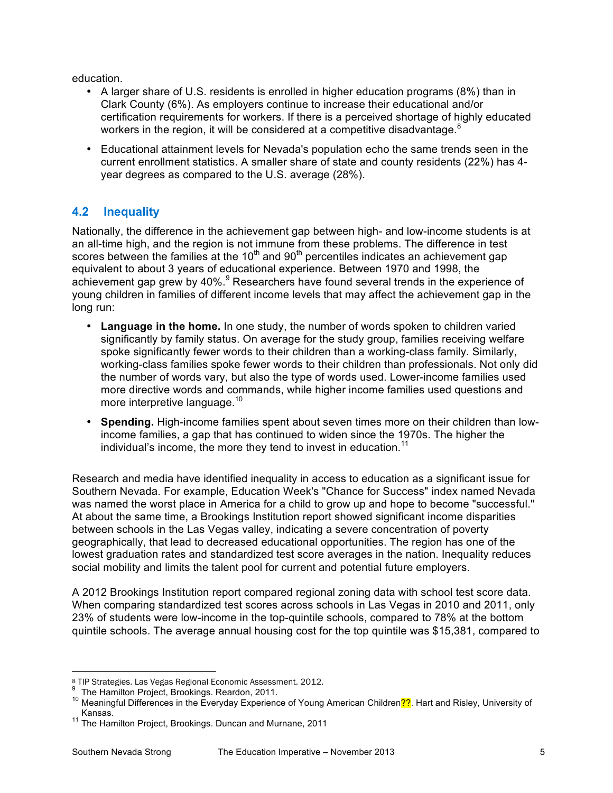education.

- A larger share of U.S. residents is enrolled in higher education programs (8%) than in Clark County (6%). As employers continue to increase their educational and/or certification requirements for workers. If there is a perceived shortage of highly educated workers in the region, it will be considered at a competitive disadvantage.<sup>8</sup>
- Educational attainment levels for Nevada's population echo the same trends seen in the current enrollment statistics. A smaller share of state and county residents (22%) has 4 year degrees as compared to the U.S. average (28%).

# **4.2 Inequality**

Nationally, the difference in the achievement gap between high- and low-income students is at an all-time high, and the region is not immune from these problems. The difference in test scores between the families at the  $10<sup>th</sup>$  and  $90<sup>th</sup>$  percentiles indicates an achievement gap equivalent to about 3 years of educational experience. Between 1970 and 1998, the achievement gap grew by 40%.<sup>9</sup> Researchers have found several trends in the experience of young children in families of different income levels that may affect the achievement gap in the long run:

- **Language in the home.** In one study, the number of words spoken to children varied significantly by family status. On average for the study group, families receiving welfare spoke significantly fewer words to their children than a working-class family. Similarly, working-class families spoke fewer words to their children than professionals. Not only did the number of words vary, but also the type of words used. Lower-income families used more directive words and commands, while higher income families used questions and more interpretive language.<sup>10</sup>
- **Spending.** High-income families spent about seven times more on their children than lowincome families, a gap that has continued to widen since the 1970s. The higher the individual's income, the more they tend to invest in education.<sup>11</sup>

Research and media have identified inequality in access to education as a significant issue for Southern Nevada. For example, Education Week's "Chance for Success" index named Nevada was named the worst place in America for a child to grow up and hope to become "successful." At about the same time, a Brookings Institution report showed significant income disparities between schools in the Las Vegas valley, indicating a severe concentration of poverty geographically, that lead to decreased educational opportunities. The region has one of the lowest graduation rates and standardized test score averages in the nation. Inequality reduces social mobility and limits the talent pool for current and potential future employers.

A 2012 Brookings Institution report compared regional zoning data with school test score data. When comparing standardized test scores across schools in Las Vegas in 2010 and 2011, only 23% of students were low-income in the top-quintile schools, compared to 78% at the bottom quintile schools. The average annual housing cost for the top quintile was \$15,381, compared to

<sup>&</sup>lt;sup>8</sup> TIP Strategies. Las Vegas Regional Economic Assessment. 2012.<br><sup>9</sup> The Hamilton Project, Brookings. Reardon, 2011.<br><sup>10</sup> Meaningful Differences in the Everyday Experience of Young American Children<sup>72</sup>. Hart and Risley, Kansas. 11 The Hamilton Project, Brookings. Duncan and Murnane, 2011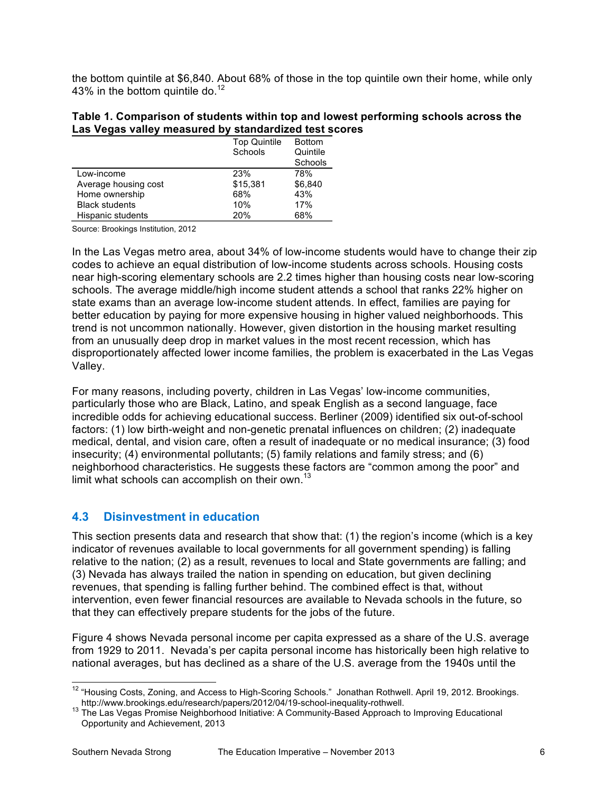the bottom quintile at \$6,840. About 68% of those in the top quintile own their home, while only 43% in the bottom quintile do.<sup>12</sup>

|  |                                                       | Table 1. Comparison of students within top and lowest performing schools across the |
|--|-------------------------------------------------------|-------------------------------------------------------------------------------------|
|  | Las Vegas valley measured by standardized test scores |                                                                                     |

|                       | <b>Top Quintile</b><br>Schools | <b>Bottom</b><br>Quintile<br>Schools |
|-----------------------|--------------------------------|--------------------------------------|
| Low-income            | 23%                            | 78%                                  |
| Average housing cost  | \$15.381                       | \$6.840                              |
| Home ownership        | 68%                            | 43%                                  |
| <b>Black students</b> | 10%                            | 17%                                  |
| Hispanic students     | 20%                            | 68%                                  |

Source: Brookings Institution, 2012

In the Las Vegas metro area, about 34% of low-income students would have to change their zip codes to achieve an equal distribution of low-income students across schools. Housing costs near high-scoring elementary schools are 2.2 times higher than housing costs near low-scoring schools. The average middle/high income student attends a school that ranks 22% higher on state exams than an average low-income student attends. In effect, families are paying for better education by paying for more expensive housing in higher valued neighborhoods. This trend is not uncommon nationally. However, given distortion in the housing market resulting from an unusually deep drop in market values in the most recent recession, which has disproportionately affected lower income families, the problem is exacerbated in the Las Vegas Valley.

For many reasons, including poverty, children in Las Vegas' low-income communities, particularly those who are Black, Latino, and speak English as a second language, face incredible odds for achieving educational success. Berliner (2009) identified six out-of-school factors: (1) low birth-weight and non-genetic prenatal influences on children; (2) inadequate medical, dental, and vision care, often a result of inadequate or no medical insurance; (3) food insecurity; (4) environmental pollutants; (5) family relations and family stress; and (6) neighborhood characteristics. He suggests these factors are "common among the poor" and limit what schools can accomplish on their own. $^{13}$ 

## **4.3 Disinvestment in education**

This section presents data and research that show that: (1) the region's income (which is a key indicator of revenues available to local governments for all government spending) is falling relative to the nation; (2) as a result, revenues to local and State governments are falling; and (3) Nevada has always trailed the nation in spending on education, but given declining revenues, that spending is falling further behind. The combined effect is that, without intervention, even fewer financial resources are available to Nevada schools in the future, so that they can effectively prepare students for the jobs of the future.

Figure 4 shows Nevada personal income per capita expressed as a share of the U.S. average from 1929 to 2011. Nevada's per capita personal income has historically been high relative to national averages, but has declined as a share of the U.S. average from the 1940s until the

<sup>&</sup>lt;sup>12</sup> "Housing Costs, Zoning, and Access to High-Scoring Schools." Jonathan Rothwell. April 19, 2012. Brookings.<br>http://www.brookings.edu/research/papers/2012/04/19-school-inequality-rothwell.

http://www.brookings.edu/research/papers/2012/04/19-school-inequality-rothus-<br><sup>13</sup> The Las Vegas Promise Neighborhood Initiative: A Community-Based Approach to Improving Educational Opportunity and Achievement, 2013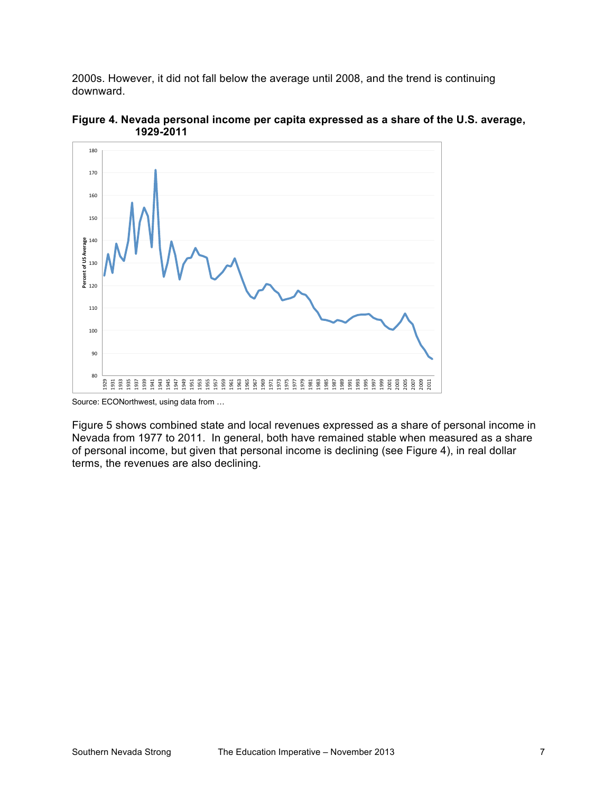2000s. However, it did not fall below the average until 2008, and the trend is continuing downward.





Figure 5 shows combined state and local revenues expressed as a share of personal income in Nevada from 1977 to 2011. In general, both have remained stable when measured as a share of personal income, but given that personal income is declining (see Figure 4), in real dollar terms, the revenues are also declining.

Source: ECONorthwest, using data from …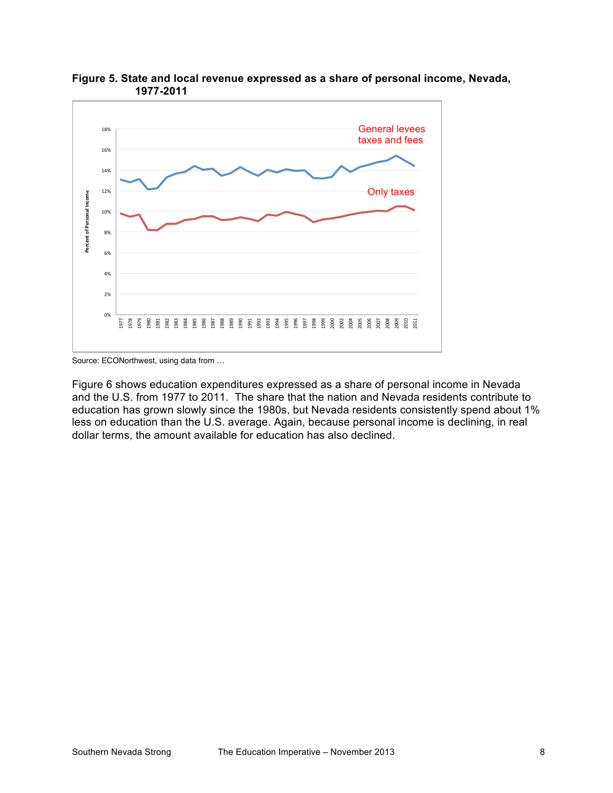

**Figure 5. State and local revenue expressed as a share of personal income, Nevada, 1977-2011**

Figure 6 shows education expenditures expressed as a share of personal income in Nevada and the U.S. from 1977 to 2011. The share that the nation and Nevada residents contribute to education has grown slowly since the 1980s, but Nevada residents consistently spend about 1% less on education than the U.S. average. Again, because personal income is declining, in real dollar terms, the amount available for education has also declined.

Source: ECONorthwest, using data from …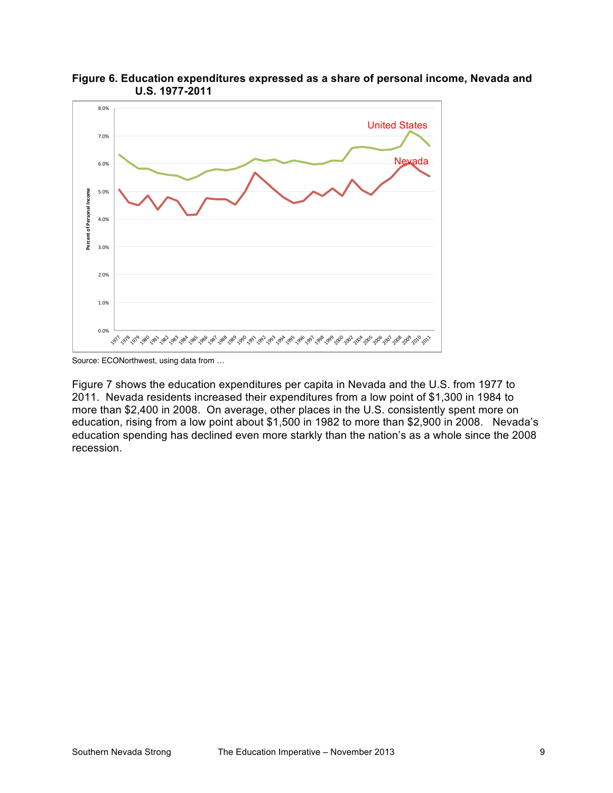

**Figure 6. Education expenditures expressed as a share of personal income, Nevada and U.S. 1977-2011** 

Source: ECONorthwest, using data from …

Figure 7 shows the education expenditures per capita in Nevada and the U.S. from 1977 to 2011. Nevada residents increased their expenditures from a low point of \$1,300 in 1984 to more than \$2,400 in 2008. On average, other places in the U.S. consistently spent more on education, rising from a low point about \$1,500 in 1982 to more than \$2,900 in 2008. Nevada's education spending has declined even more starkly than the nation's as a whole since the 2008 recession.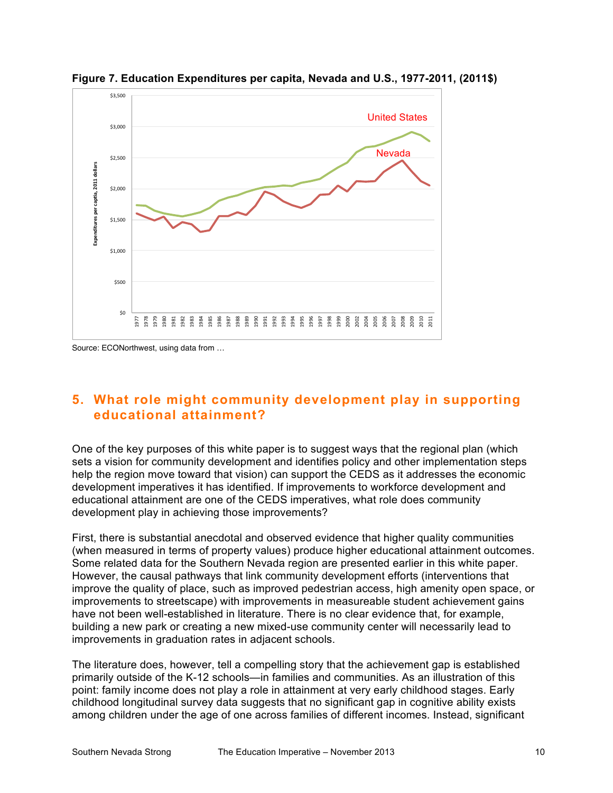

**Figure 7. Education Expenditures per capita, Nevada and U.S., 1977-2011, (2011\$)**

Source: ECONorthwest, using data from …

# **5. What role might community development play in supporting educational attainment?**

One of the key purposes of this white paper is to suggest ways that the regional plan (which sets a vision for community development and identifies policy and other implementation steps help the region move toward that vision) can support the CEDS as it addresses the economic development imperatives it has identified. If improvements to workforce development and educational attainment are one of the CEDS imperatives, what role does community development play in achieving those improvements?

First, there is substantial anecdotal and observed evidence that higher quality communities (when measured in terms of property values) produce higher educational attainment outcomes. Some related data for the Southern Nevada region are presented earlier in this white paper. However, the causal pathways that link community development efforts (interventions that improve the quality of place, such as improved pedestrian access, high amenity open space, or improvements to streetscape) with improvements in measureable student achievement gains have not been well-established in literature. There is no clear evidence that, for example, building a new park or creating a new mixed-use community center will necessarily lead to improvements in graduation rates in adjacent schools.

The literature does, however, tell a compelling story that the achievement gap is established primarily outside of the K-12 schools—in families and communities. As an illustration of this point: family income does not play a role in attainment at very early childhood stages. Early childhood longitudinal survey data suggests that no significant gap in cognitive ability exists among children under the age of one across families of different incomes. Instead, significant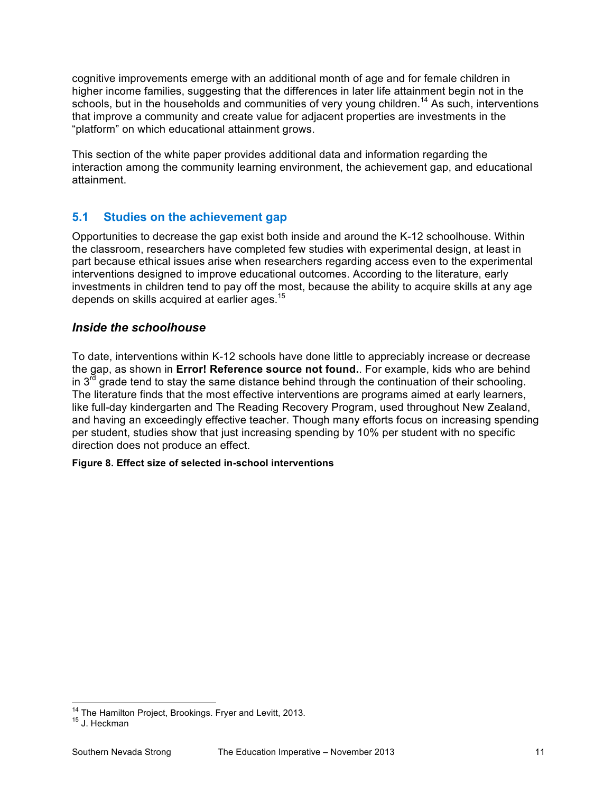cognitive improvements emerge with an additional month of age and for female children in higher income families, suggesting that the differences in later life attainment begin not in the schools, but in the households and communities of very young children.<sup>14</sup> As such, interventions that improve a community and create value for adjacent properties are investments in the "platform" on which educational attainment grows.

This section of the white paper provides additional data and information regarding the interaction among the community learning environment, the achievement gap, and educational attainment.

## **5.1 Studies on the achievement gap**

Opportunities to decrease the gap exist both inside and around the K-12 schoolhouse. Within the classroom, researchers have completed few studies with experimental design, at least in part because ethical issues arise when researchers regarding access even to the experimental interventions designed to improve educational outcomes. According to the literature, early investments in children tend to pay off the most, because the ability to acquire skills at any age depends on skills acquired at earlier ages.<sup>15</sup>

### *Inside the schoolhouse*

To date, interventions within K-12 schools have done little to appreciably increase or decrease the gap, as shown in **Error! Reference source not found.**. For example, kids who are behind in  $3<sup>rd</sup>$  grade tend to stay the same distance behind through the continuation of their schooling. The literature finds that the most effective interventions are programs aimed at early learners, like full-day kindergarten and The Reading Recovery Program, used throughout New Zealand, and having an exceedingly effective teacher. Though many efforts focus on increasing spending per student, studies show that just increasing spending by 10% per student with no specific direction does not produce an effect.

### **Figure 8. Effect size of selected in-school interventions**

<sup>&</sup>lt;sup>14</sup> The Hamilton Project, Brookings. Fryer and Levitt, 2013.<br><sup>15</sup> J. Heckman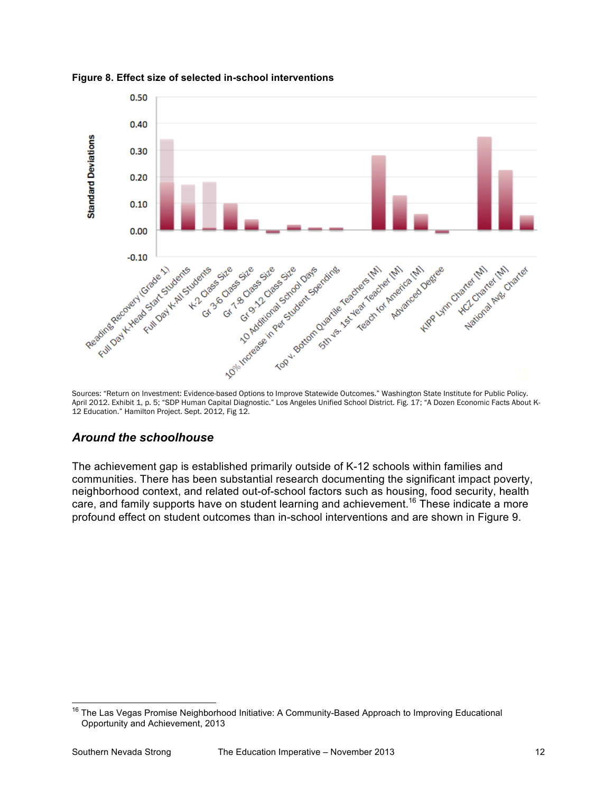

**Figure 8. Effect size of selected in-school interventions**

April 2012. Exhibit 1, p. 5; "SDP Human Capital Diagnostic." Los Angeles Unified School District. Fig. 17; "A Dozen Economic Facts About K-12 Education." Hamilton Project. Sept. 2012, Fig 12.

## *Around the schoolhouse*

The achievement gap is established primarily outside of K-12 schools within families and communities. There has been substantial research documenting the significant impact poverty, neighborhood context, and related out-of-school factors such as housing, food security, health care, and family supports have on student learning and achievement.<sup>16</sup> These indicate a more profound effect on student outcomes than in-school interventions and are shown in Figure 9.

<sup>&</sup>lt;sup>16</sup> The Las Vegas Promise Neighborhood Initiative: A Community-Based Approach to Improving Educational Opportunity and Achievement, 2013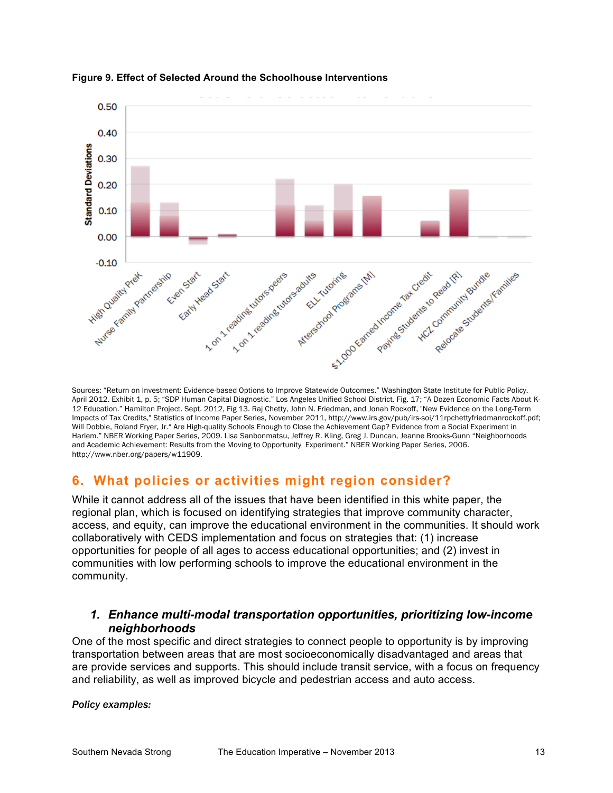

**Figure 9. Effect of Selected Around the Schoolhouse Interventions**

Sources: "Return on Investment: Evidence-based Options to Improve Statewide Outcomes." Washington State Institute for Public Policy. April 2012. Exhibit 1, p. 5; "SDP Human Capital Diagnostic." Los Angeles Unified School District. Fig. 17; "A Dozen Economic Facts About K-12 Education." Hamilton Project. Sept. 2012, Fig 13. Raj Chetty, John N. Friedman, and Jonah Rockoff, "New Evidence on the Long-Term Impacts of Tax Credits," Statistics of Income Paper Series, November 2011, http://www.irs.gov/pub/irs-soi/11rpchettyfriedmanrockoff.pdf; Will Dobbie, Roland Fryer, Jr." Are High-quality Schools Enough to Close the Achievement Gap? Evidence from a Social Experiment in Harlem." NBER Working Paper Series, 2009. Lisa Sanbonmatsu, Jeffrey R. Kling, Greg J. Duncan, Jeanne Brooks-Gunn "Neighborhoods and Academic Achievement: Results from the Moving to Opportunity Experiment." NBER Working Paper Series, 2006. http://www.nber.org/papers/w11909.

# **6. What policies or activities might region consider?**

While it cannot address all of the issues that have been identified in this white paper, the regional plan, which is focused on identifying strategies that improve community character, access, and equity, can improve the educational environment in the communities. It should work collaboratively with CEDS implementation and focus on strategies that: (1) increase opportunities for people of all ages to access educational opportunities; and (2) invest in communities with low performing schools to improve the educational environment in the community.

### *1. Enhance multi-modal transportation opportunities, prioritizing low-income neighborhoods*

One of the most specific and direct strategies to connect people to opportunity is by improving transportation between areas that are most socioeconomically disadvantaged and areas that are provide services and supports. This should include transit service, with a focus on frequency and reliability, as well as improved bicycle and pedestrian access and auto access.

#### *Policy examples:*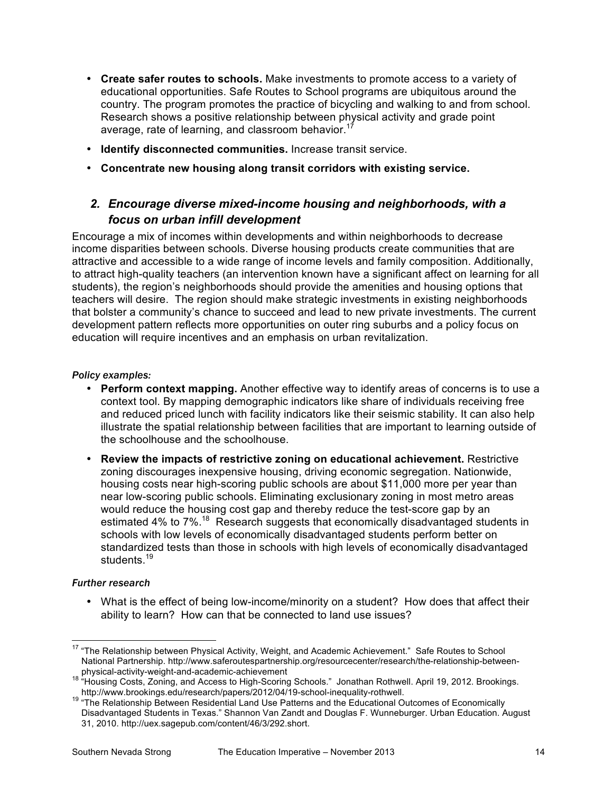- **Create safer routes to schools.** Make investments to promote access to a variety of educational opportunities. Safe Routes to School programs are ubiquitous around the country. The program promotes the practice of bicycling and walking to and from school. Research shows a positive relationship between physical activity and grade point average, rate of learning, and classroom behavior.<sup>17</sup>
- **Identify disconnected communities.** Increase transit service.
- **Concentrate new housing along transit corridors with existing service.**

# *2. Encourage diverse mixed-income housing and neighborhoods, with a focus on urban infill development*

Encourage a mix of incomes within developments and within neighborhoods to decrease income disparities between schools. Diverse housing products create communities that are attractive and accessible to a wide range of income levels and family composition. Additionally, to attract high-quality teachers (an intervention known have a significant affect on learning for all students), the region's neighborhoods should provide the amenities and housing options that teachers will desire. The region should make strategic investments in existing neighborhoods that bolster a community's chance to succeed and lead to new private investments. The current development pattern reflects more opportunities on outer ring suburbs and a policy focus on education will require incentives and an emphasis on urban revitalization.

#### *Policy examples:*

- **Perform context mapping.** Another effective way to identify areas of concerns is to use a context tool. By mapping demographic indicators like share of individuals receiving free and reduced priced lunch with facility indicators like their seismic stability. It can also help illustrate the spatial relationship between facilities that are important to learning outside of the schoolhouse and the schoolhouse.
- **Review the impacts of restrictive zoning on educational achievement.** Restrictive zoning discourages inexpensive housing, driving economic segregation. Nationwide, housing costs near high-scoring public schools are about \$11,000 more per year than near low-scoring public schools. Eliminating exclusionary zoning in most metro areas would reduce the housing cost gap and thereby reduce the test-score gap by an estimated 4% to 7%.18 Research suggests that economically disadvantaged students in schools with low levels of economically disadvantaged students perform better on standardized tests than those in schools with high levels of economically disadvantaged students.<sup>19</sup>

#### *Further research*

• What is the effect of being low-income/minority on a student? How does that affect their ability to learn? How can that be connected to land use issues?

<sup>&</sup>lt;sup>17</sup> "The Relationship between Physical Activity, Weight, and Academic Achievement." Safe Routes to School National Partnership. http://www.saferoutespartnership.org/resourcecenter/research/the-relationship-between-

physical-activity-weight-and-academic-achievement<br>
<sup>18</sup> "Housing Costs, Zoning, and Access to High-Scoring Schools." Jonathan Rothwell. April 19, 2012. Brookings.<br>
http://www.brookings.edu/research/papers/2012/04/19-school

http://www.brookings.edu/research/papers/2012/02/2022/04/2022/04/2022/02/2022/02/2022/02/2022/02/2022/02/2022<br><sup>19</sup> "The Relationship Between Residential Land Use Patterns and the Educational Outcomes of Economically Disadvantaged Students in Texas." Shannon Van Zandt and Douglas F. Wunneburger. Urban Education. August 31, 2010. http://uex.sagepub.com/content/46/3/292.short.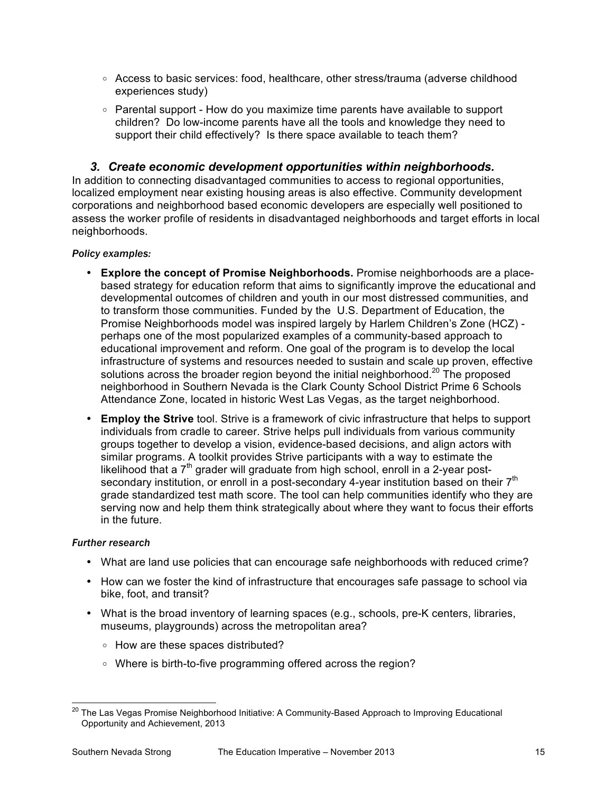- Access to basic services: food, healthcare, other stress/trauma (adverse childhood experiences study)
- $\circ$  Parental support How do you maximize time parents have available to support children? Do low-income parents have all the tools and knowledge they need to support their child effectively? Is there space available to teach them?

### *3. Create economic development opportunities within neighborhoods.*

In addition to connecting disadvantaged communities to access to regional opportunities, localized employment near existing housing areas is also effective. Community development corporations and neighborhood based economic developers are especially well positioned to assess the worker profile of residents in disadvantaged neighborhoods and target efforts in local neighborhoods.

### *Policy examples:*

- **Explore the concept of Promise Neighborhoods.** Promise neighborhoods are a placebased strategy for education reform that aims to significantly improve the educational and developmental outcomes of children and youth in our most distressed communities, and to transform those communities. Funded by the U.S. Department of Education, the Promise Neighborhoods model was inspired largely by Harlem Children's Zone (HCZ) perhaps one of the most popularized examples of a community-based approach to educational improvement and reform. One goal of the program is to develop the local infrastructure of systems and resources needed to sustain and scale up proven, effective solutions across the broader region beyond the initial neighborhood.<sup>20</sup> The proposed neighborhood in Southern Nevada is the Clark County School District Prime 6 Schools Attendance Zone, located in historic West Las Vegas, as the target neighborhood.
- **Employ the Strive** tool. Strive is a framework of civic infrastructure that helps to support individuals from cradle to career. Strive helps pull individuals from various community groups together to develop a vision, evidence-based decisions, and align actors with similar programs. A toolkit provides Strive participants with a way to estimate the likelihood that a  $7<sup>th</sup>$  grader will graduate from high school, enroll in a 2-year postsecondary institution, or enroll in a post-secondary 4-year institution based on their  $7<sup>th</sup>$ grade standardized test math score. The tool can help communities identify who they are serving now and help them think strategically about where they want to focus their efforts in the future.

#### *Further research*

- What are land use policies that can encourage safe neighborhoods with reduced crime?
- How can we foster the kind of infrastructure that encourages safe passage to school via bike, foot, and transit?
- What is the broad inventory of learning spaces (e.g., schools, pre-K centers, libraries, museums, playgrounds) across the metropolitan area?
	- How are these spaces distributed?
	- Where is birth-to-five programming offered across the region?

<sup>&</sup>lt;sup>20</sup> The Las Vegas Promise Neighborhood Initiative: A Community-Based Approach to Improving Educational Opportunity and Achievement, 2013